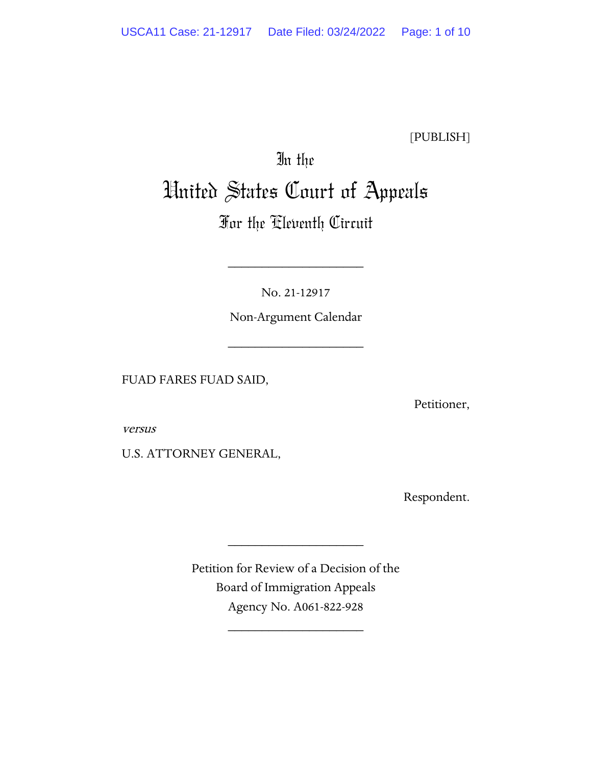[PUBLISH]

# In the United States Court of Appeals

# For the Eleventh Circuit

No. 21-12917

\_\_\_\_\_\_\_\_\_\_\_\_\_\_\_\_\_\_\_\_

Non-Argument Calendar

\_\_\_\_\_\_\_\_\_\_\_\_\_\_\_\_\_\_\_\_

FUAD FARES FUAD SAID,

Petitioner,

versus

U.S. ATTORNEY GENERAL,

Respondent.

Petition for Review of a Decision of the Board of Immigration Appeals Agency No. A061-822-928

\_\_\_\_\_\_\_\_\_\_\_\_\_\_\_\_\_\_\_\_

\_\_\_\_\_\_\_\_\_\_\_\_\_\_\_\_\_\_\_\_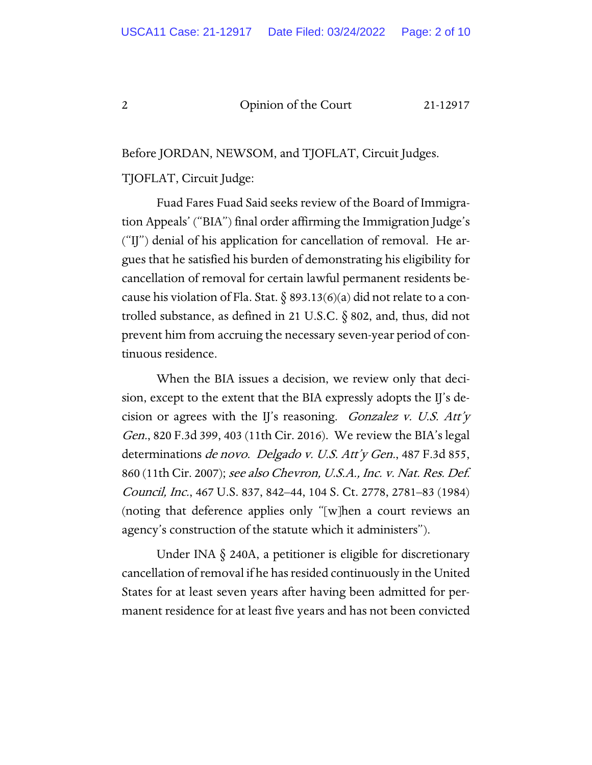Before JORDAN, NEWSOM, and TJOFLAT, Circuit Judges.

#### TJOFLAT, Circuit Judge:

Fuad Fares Fuad Said seeks review of the Board of Immigration Appeals' ("BIA") final order affirming the Immigration Judge's ("IJ") denial of his application for cancellation of removal. He argues that he satisfied his burden of demonstrating his eligibility for cancellation of removal for certain lawful permanent residents because his violation of Fla. Stat.  $\delta$  893.13(6)(a) did not relate to a controlled substance, as defined in 21 U.S.C. § 802, and, thus, did not prevent him from accruing the necessary seven-year period of continuous residence.

When the BIA issues a decision, we review only that decision, except to the extent that the BIA expressly adopts the IJ's decision or agrees with the IJ's reasoning. *Gonzalez v. U.S. Att'y* Gen., 820 F.3d 399, 403 (11th Cir. 2016). We review the BIA's legal determinations de novo. Delgado v. U.S. Att'y Gen., 487 F.3d 855, 860 (11th Cir. 2007); see also Chevron, U.S.A., Inc. v. Nat. Res. Def. Council, Inc., 467 U.S. 837, 842–44, 104 S. Ct. 2778, 2781–83 (1984) (noting that deference applies only "[w]hen a court reviews an agency's construction of the statute which it administers").

Under INA § 240A, a petitioner is eligible for discretionary cancellation of removal if he has resided continuously in the United States for at least seven years after having been admitted for permanent residence for at least five years and has not been convicted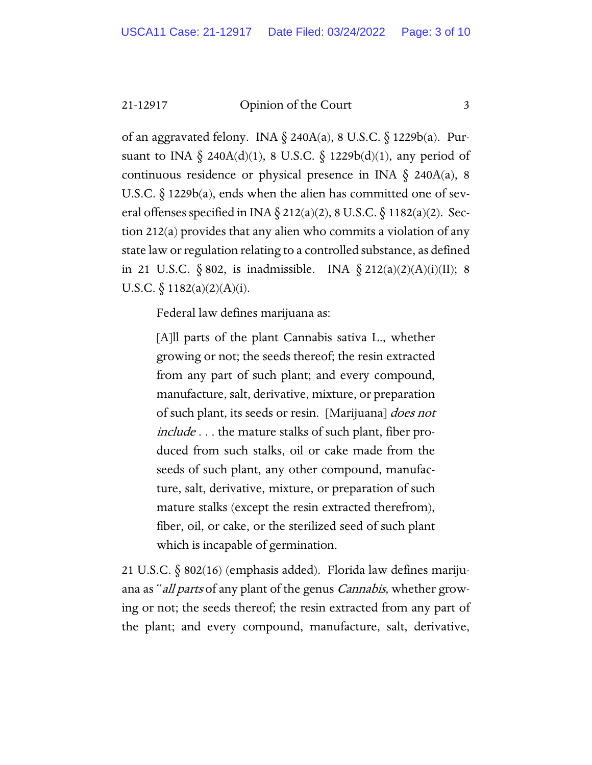of an aggravated felony. INA § 240A(a), 8 U.S.C. § 1229b(a). Pursuant to INA  $\S$  240A(d)(1), 8 U.S.C.  $\S$  1229b(d)(1), any period of continuous residence or physical presence in INA § 240A(a), 8 U.S.C.  $\S$  1229b(a), ends when the alien has committed one of several offenses specified in INA § 212(a)(2), 8 U.S.C. § 1182(a)(2). Section 212(a) provides that any alien who commits a violation of any state law or regulation relating to a controlled substance, as defined in 21 U.S.C.  $\S 802$ , is inadmissible. INA  $\S 212(a)(2)(A)(i)(II)$ ; 8 U.S.C.  $\S$  1182(a)(2)(A)(i).

Federal law defines marijuana as:

[A]ll parts of the plant Cannabis sativa L., whether growing or not; the seeds thereof; the resin extracted from any part of such plant; and every compound, manufacture, salt, derivative, mixture, or preparation of such plant, its seeds or resin. [Marijuana] *does not* include . . . the mature stalks of such plant, fiber produced from such stalks, oil or cake made from the seeds of such plant, any other compound, manufacture, salt, derivative, mixture, or preparation of such mature stalks (except the resin extracted therefrom), fiber, oil, or cake, or the sterilized seed of such plant which is incapable of germination.

21 U.S.C. § 802(16) (emphasis added). Florida law defines marijuana as "*all parts* of any plant of the genus *Cannabis*, whether growing or not; the seeds thereof; the resin extracted from any part of the plant; and every compound, manufacture, salt, derivative,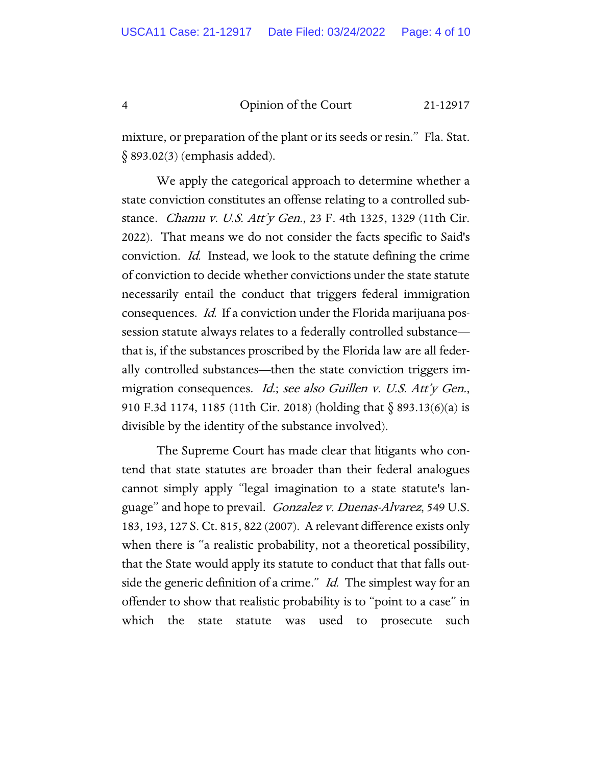mixture, or preparation of the plant or its seeds or resin." Fla. Stat. § 893.02(3) (emphasis added).

We apply the categorical approach to determine whether a state conviction constitutes an offense relating to a controlled substance. Chamu v. U.S. Att'y Gen., 23 F. 4th 1325, 1329 (11th Cir. 2022). That means we do not consider the facts specific to Said's conviction. Id. Instead, we look to the statute defining the crime of conviction to decide whether convictions under the state statute necessarily entail the conduct that triggers federal immigration consequences. Id. If a conviction under the Florida marijuana possession statute always relates to a federally controlled substance that is, if the substances proscribed by the Florida law are all federally controlled substances—then the state conviction triggers immigration consequences. *Id.*; see also Guillen v. U.S. Att'y Gen., 910 F.3d 1174, 1185 (11th Cir. 2018) (holding that § 893.13(6)(a) is divisible by the identity of the substance involved).

The Supreme Court has made clear that litigants who contend that state statutes are broader than their federal analogues cannot simply apply "legal imagination to a state statute's language" and hope to prevail. Gonzalez v. Duenas-Alvarez, 549 U.S. 183, 193, 127 S. Ct. 815, 822 (2007). A relevant difference exists only when there is "a realistic probability, not a theoretical possibility, that the State would apply its statute to conduct that that falls outside the generic definition of a crime." Id. The simplest way for an offender to show that realistic probability is to "point to a case" in which the state statute was used to prosecute such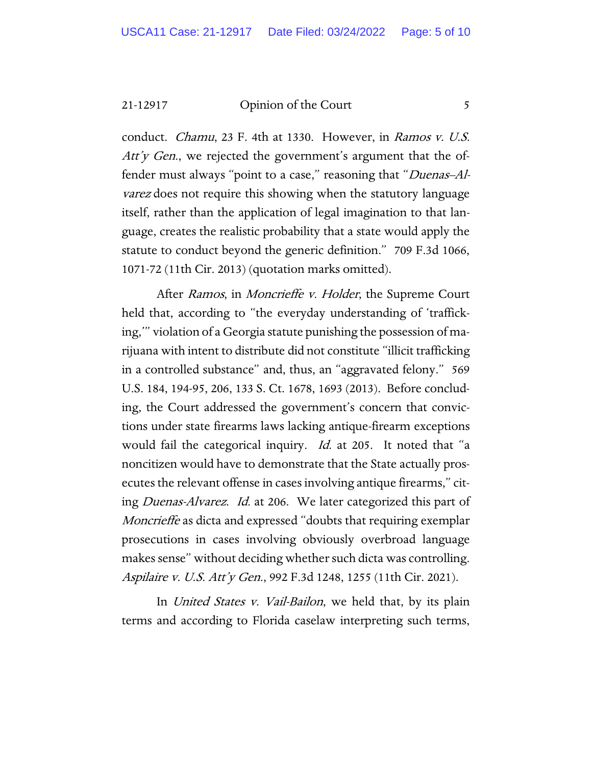conduct. Chamu, 23 F. 4th at 1330. However, in Ramos v. U.S. Att'y Gen., we rejected the government's argument that the offender must always "point to a case," reasoning that "*Duenas-Al*varez does not require this showing when the statutory language itself, rather than the application of legal imagination to that language, creates the realistic probability that a state would apply the statute to conduct beyond the generic definition." 709 F.3d 1066, 1071-72 (11th Cir. 2013) (quotation marks omitted).

After Ramos, in Moncrieffe v. Holder, the Supreme Court held that, according to "the everyday understanding of 'trafficking,'" violation of a Georgia statute punishing the possession of marijuana with intent to distribute did not constitute "illicit trafficking in a controlled substance" and, thus, an "aggravated felony." 569 U.S. 184, 194-95, 206, 133 S. Ct. 1678, 1693 (2013). Before concluding, the Court addressed the government's concern that convictions under state firearms laws lacking antique-firearm exceptions would fail the categorical inquiry. *Id.* at 205. It noted that "a noncitizen would have to demonstrate that the State actually prosecutes the relevant offense in cases involving antique firearms," citing Duenas-Alvarez. Id. at 206. We later categorized this part of Moncrieffe as dicta and expressed "doubts that requiring exemplar prosecutions in cases involving obviously overbroad language makes sense" without deciding whether such dicta was controlling. Aspilaire v. U.S. Att'y Gen., 992 F.3d 1248, 1255 (11th Cir. 2021).

In United States v. Vail-Bailon, we held that, by its plain terms and according to Florida caselaw interpreting such terms,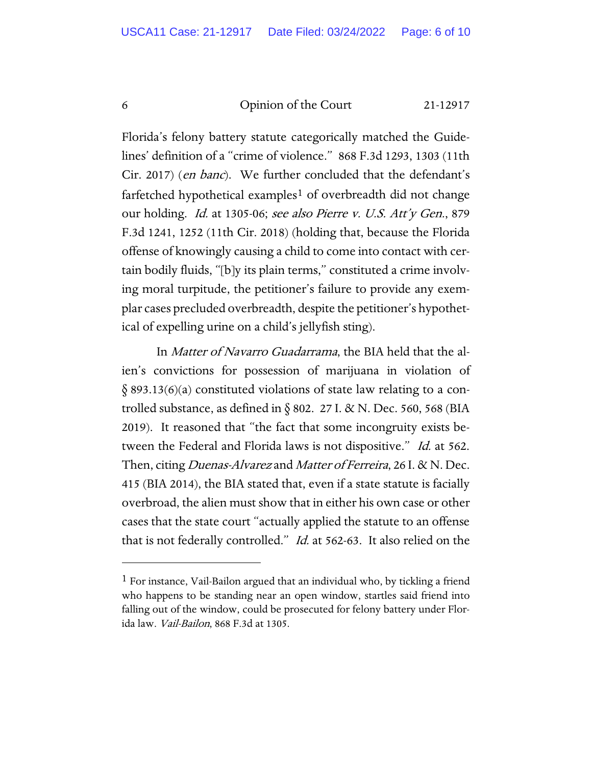Florida's felony battery statute categorically matched the Guidelines' definition of a "crime of violence." 868 F.3d 1293, 1303 (11th Cir. 2017) (en banc). We further concluded that the defendant's farfetched hypothetical examples<sup>[1](#page-5-0)</sup> of overbreadth did not change our holding. Id. at 1305-06; see also Pierre v. U.S. Att'y Gen., 879 F.3d 1241, 1252 (11th Cir. 2018) (holding that, because the Florida offense of knowingly causing a child to come into contact with certain bodily fluids, "[b]y its plain terms," constituted a crime involving moral turpitude, the petitioner's failure to provide any exemplar cases precluded overbreadth, despite the petitioner's hypothetical of expelling urine on a child's jellyfish sting).

In Matter of Navarro Guadarrama, the BIA held that the alien's convictions for possession of marijuana in violation of  $\S$  893.13(6)(a) constituted violations of state law relating to a controlled substance, as defined in  $\S 802$ . 27 I. & N. Dec. 560, 568 (BIA 2019). It reasoned that "the fact that some incongruity exists between the Federal and Florida laws is not dispositive." Id. at 562. Then, citing *Duenas-Alvarez* and *Matter of Ferreira*, 26 I. & N. Dec. 415 (BIA 2014), the BIA stated that, even if a state statute is facially overbroad, the alien must show that in either his own case or other cases that the state court "actually applied the statute to an offense that is not federally controlled." Id. at 562-63. It also relied on the

<span id="page-5-0"></span><sup>1</sup> For instance, Vail-Bailon argued that an individual who, by tickling a friend who happens to be standing near an open window, startles said friend into falling out of the window, could be prosecuted for felony battery under Florida law. Vail-Bailon, 868 F.3d at 1305.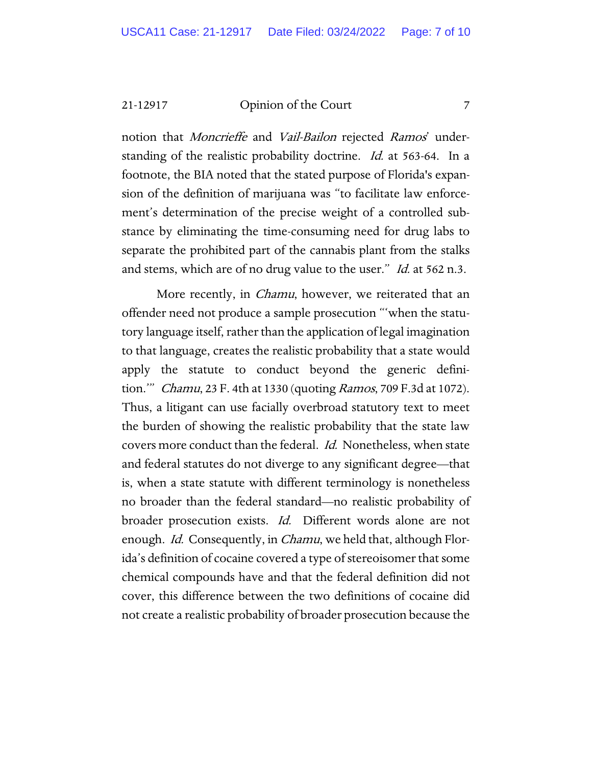notion that *Moncrieffe* and *Vail-Bailon* rejected *Ramos*' understanding of the realistic probability doctrine. Id. at 563-64. In a footnote, the BIA noted that the stated purpose of Florida's expansion of the definition of marijuana was "to facilitate law enforcement's determination of the precise weight of a controlled substance by eliminating the time-consuming need for drug labs to separate the prohibited part of the cannabis plant from the stalks and stems, which are of no drug value to the user." *Id.* at 562 n.3.

More recently, in *Chamu*, however, we reiterated that an offender need not produce a sample prosecution "'when the statutory language itself, rather than the application of legal imagination to that language, creates the realistic probability that a state would apply the statute to conduct beyond the generic definition.'" Chamu, 23 F. 4th at 1330 (quoting Ramos, 709 F.3d at 1072). Thus, a litigant can use facially overbroad statutory text to meet the burden of showing the realistic probability that the state law covers more conduct than the federal. Id. Nonetheless, when state and federal statutes do not diverge to any significant degree—that is, when a state statute with different terminology is nonetheless no broader than the federal standard—no realistic probability of broader prosecution exists. Id. Different words alone are not enough. *Id.* Consequently, in *Chamu*, we held that, although Florida's definition of cocaine covered a type of stereoisomer that some chemical compounds have and that the federal definition did not cover, this difference between the two definitions of cocaine did not create a realistic probability of broader prosecution because the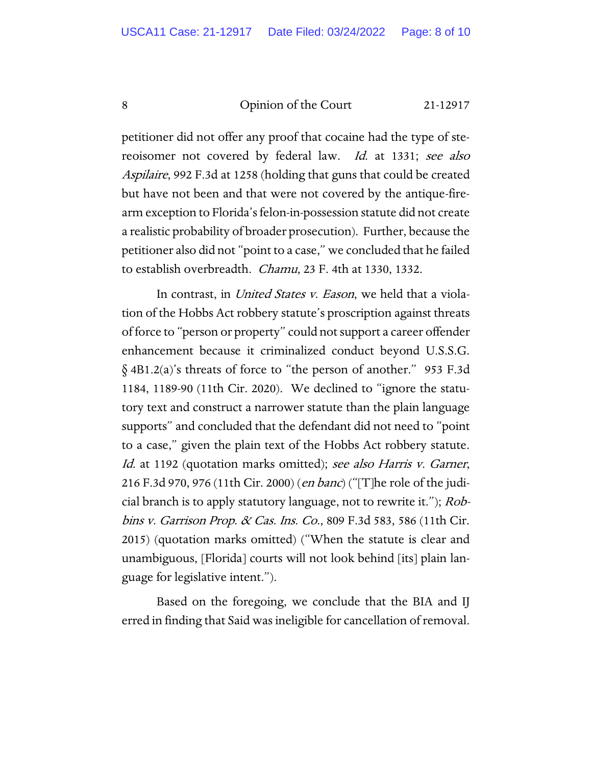petitioner did not offer any proof that cocaine had the type of stereoisomer not covered by federal law. *Id.* at 1331; see also Aspilaire, 992 F.3d at 1258 (holding that guns that could be created but have not been and that were not covered by the antique-firearm exception to Florida's felon-in-possession statute did not create a realistic probability of broader prosecution). Further, because the petitioner also did not "point to a case," we concluded that he failed to establish overbreadth. Chamu, 23 F. 4th at 1330, 1332.

In contrast, in *United States v. Eason*, we held that a violation of the Hobbs Act robbery statute's proscription against threats of force to "person or property" could not support a career offender enhancement because it criminalized conduct beyond U.S.S.G. § 4B1.2(a)'s threats of force to "the person of another." 953 F.3d 1184, 1189-90 (11th Cir. 2020). We declined to "ignore the statutory text and construct a narrower statute than the plain language supports" and concluded that the defendant did not need to "point to a case," given the plain text of the Hobbs Act robbery statute. Id. at 1192 (quotation marks omitted); see also Harris v. Garner, 216 F.3d 970, 976 (11th Cir. 2000) (*en banc*) ("[T]he role of the judicial branch is to apply statutory language, not to rewrite it."); *Rob*bins v. Garrison Prop. & Cas. Ins. Co., 809 F.3d 583, 586 (11th Cir. 2015) (quotation marks omitted) ("When the statute is clear and unambiguous, [Florida] courts will not look behind [its] plain language for legislative intent.").

Based on the foregoing, we conclude that the BIA and IJ erred in finding that Said was ineligible for cancellation of removal.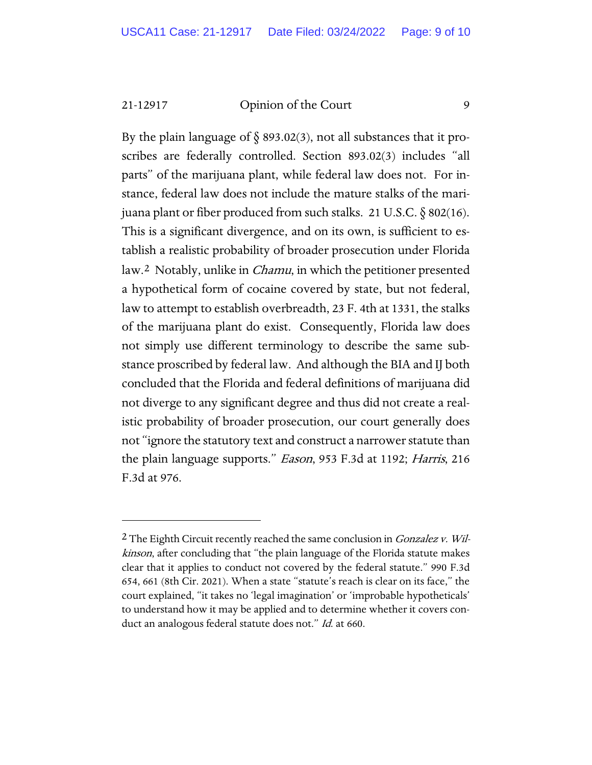By the plain language of  $\S$  893.02(3), not all substances that it proscribes are federally controlled. Section 893.02(3) includes "all parts" of the marijuana plant, while federal law does not. For instance, federal law does not include the mature stalks of the marijuana plant or fiber produced from such stalks. 21 U.S.C. § 802(16). This is a significant divergence, and on its own, is sufficient to establish a realistic probability of broader prosecution under Florida law.[2](#page-8-0) Notably, unlike in Chamu, in which the petitioner presented a hypothetical form of cocaine covered by state, but not federal, law to attempt to establish overbreadth, 23 F. 4th at 1331, the stalks of the marijuana plant do exist. Consequently, Florida law does not simply use different terminology to describe the same substance proscribed by federal law. And although the BIA and IJ both concluded that the Florida and federal definitions of marijuana did not diverge to any significant degree and thus did not create a realistic probability of broader prosecution, our court generally does not "ignore the statutory text and construct a narrower statute than the plain language supports." Eason, 953 F.3d at 1192; Harris, 216 F.3d at 976.

<span id="page-8-0"></span> $2$  The Eighth Circuit recently reached the same conclusion in *Gonzalez v. Wil*kinson, after concluding that "the plain language of the Florida statute makes clear that it applies to conduct not covered by the federal statute." 990 F.3d 654, 661 (8th Cir. 2021). When a state "statute's reach is clear on its face," the court explained, "it takes no 'legal imagination' or 'improbable hypotheticals' to understand how it may be applied and to determine whether it covers conduct an analogous federal statute does not." Id. at 660.